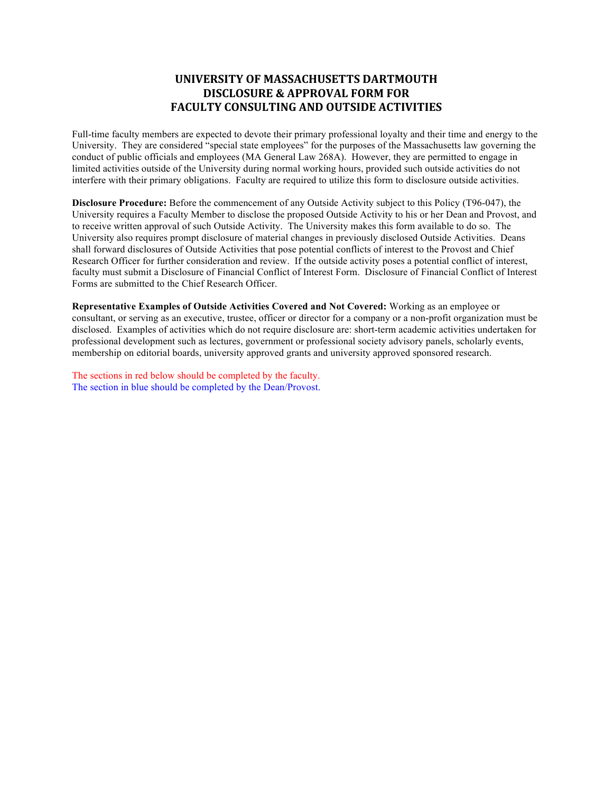## **UNIVERSITY OF MASSACHUSETTS DARTMOUTH DISCLOSURE & APPROVAL FORM FOR FACULTY CONSULTING AND OUTSIDE ACTIVITIES**

Full-time faculty members are expected to devote their primary professional loyalty and their time and energy to the University. They are considered "special state employees" for the purposes of the Massachusetts law governing the conduct of public officials and employees (MA General Law 268A). However, they are permitted to engage in limited activities outside of the University during normal working hours, provided such outside activities do not interfere with their primary obligations. Faculty are required to utilize this form to disclosure outside activities.

**Disclosure Procedure:** Before the commencement of any Outside Activity subject to this Policy (T96-047), the University requires a Faculty Member to disclose the proposed Outside Activity to his or her Dean and Provost, and to receive written approval of such Outside Activity. The University makes this form available to do so. The University also requires prompt disclosure of material changes in previously disclosed Outside Activities. Deans shall forward disclosures of Outside Activities that pose potential conflicts of interest to the Provost and Chief Research Officer for further consideration and review. If the outside activity poses a potential conflict of interest, faculty must submit a Disclosure of Financial Conflict of Interest Form. Disclosure of Financial Conflict of Interest Forms are submitted to the Chief Research Officer.

**Representative Examples of Outside Activities Covered and Not Covered:** Working as an employee or consultant, or serving as an executive, trustee, officer or director for a company or a non-profit organization must be disclosed. Examples of activities which do not require disclosure are: short-term academic activities undertaken for professional development such as lectures, government or professional society advisory panels, scholarly events, membership on editorial boards, university approved grants and university approved sponsored research.

The sections in red below should be completed by the faculty. The section in blue should be completed by the Dean/Provost.